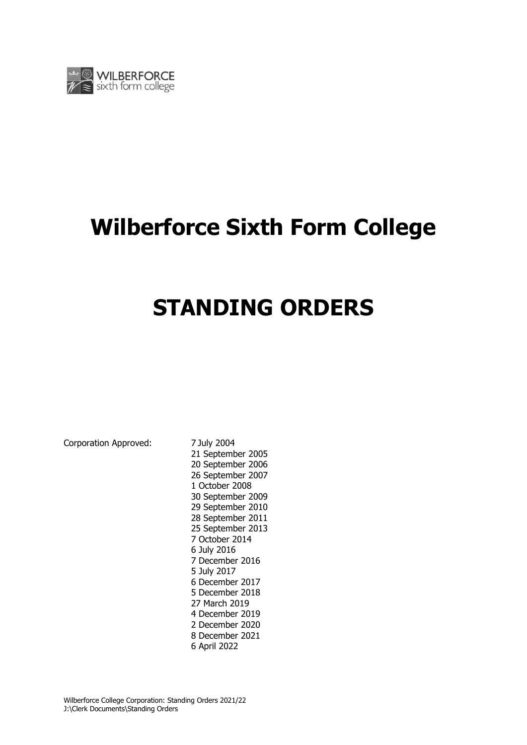

# **Wilberforce Sixth Form College**

# **STANDING ORDERS**

Corporation Approved: 7 July 2004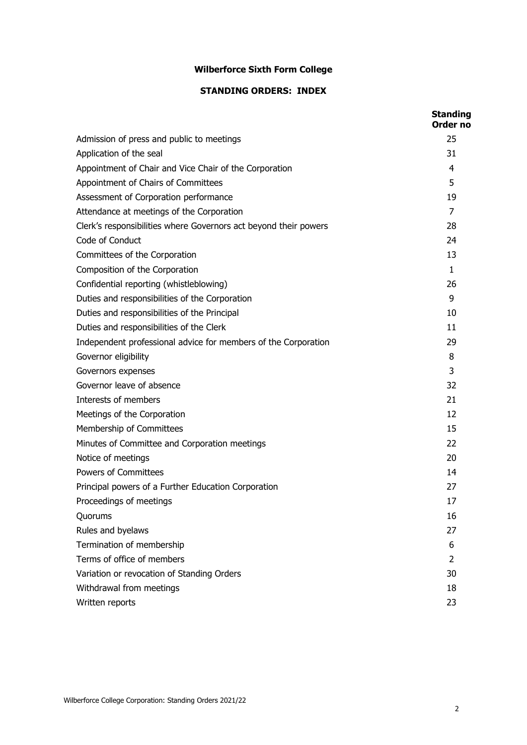# **Wilberforce Sixth Form College**

# **STANDING ORDERS: INDEX**

|                                                                  | <b>Standing</b><br>Order no |
|------------------------------------------------------------------|-----------------------------|
| Admission of press and public to meetings                        | 25                          |
| Application of the seal                                          | 31                          |
| Appointment of Chair and Vice Chair of the Corporation           | 4                           |
| Appointment of Chairs of Committees                              | 5                           |
| Assessment of Corporation performance                            | 19                          |
| Attendance at meetings of the Corporation                        | 7                           |
| Clerk's responsibilities where Governors act beyond their powers | 28                          |
| Code of Conduct                                                  | 24                          |
| Committees of the Corporation                                    | 13                          |
| Composition of the Corporation                                   | $\mathbf{1}$                |
| Confidential reporting (whistleblowing)                          | 26                          |
| Duties and responsibilities of the Corporation                   | 9                           |
| Duties and responsibilities of the Principal                     | 10                          |
| Duties and responsibilities of the Clerk                         | 11                          |
| Independent professional advice for members of the Corporation   | 29                          |
| Governor eligibility                                             | 8                           |
| Governors expenses                                               | 3                           |
| Governor leave of absence                                        | 32                          |
| Interests of members                                             | 21                          |
| Meetings of the Corporation                                      | 12                          |
| Membership of Committees                                         | 15                          |
| Minutes of Committee and Corporation meetings                    | 22                          |
| Notice of meetings                                               | 20                          |
| <b>Powers of Committees</b>                                      | 14                          |
| Principal powers of a Further Education Corporation              | 27                          |
| Proceedings of meetings                                          | 17                          |
| Quorums                                                          | 16                          |
| Rules and byelaws                                                | 27                          |
| Termination of membership                                        | 6                           |
| Terms of office of members                                       | 2                           |
| Variation or revocation of Standing Orders                       | 30                          |
| Withdrawal from meetings                                         | 18                          |
| Written reports                                                  | 23                          |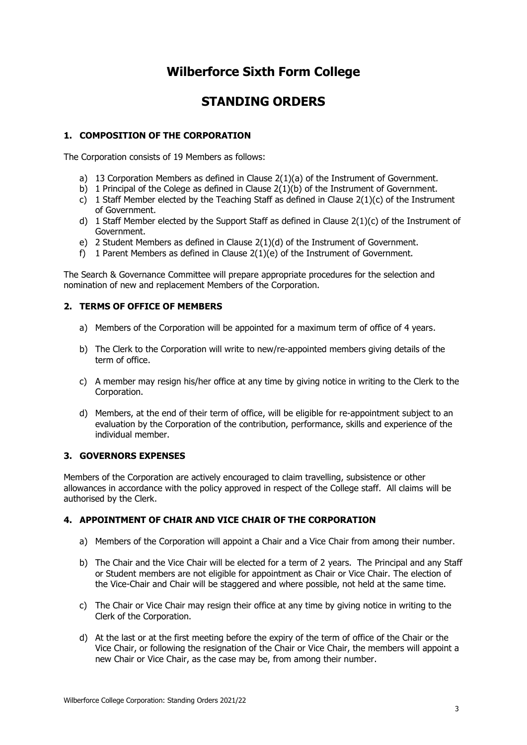# **Wilberforce Sixth Form College**

# **STANDING ORDERS**

# **1. COMPOSITION OF THE CORPORATION**

The Corporation consists of 19 Members as follows:

- a) 13 Corporation Members as defined in Clause  $2(1)(a)$  of the Instrument of Government.
- b) 1 Principal of the Colege as defined in Clause 2(1)(b) of the Instrument of Government.
- c) 1 Staff Member elected by the Teaching Staff as defined in Clause  $2(1)(c)$  of the Instrument of Government.
- d) 1 Staff Member elected by the Support Staff as defined in Clause  $2(1)(c)$  of the Instrument of Government.
- e) 2 Student Members as defined in Clause 2(1)(d) of the Instrument of Government.
- f) 1 Parent Members as defined in Clause  $2(1)(e)$  of the Instrument of Government.

The Search & Governance Committee will prepare appropriate procedures for the selection and nomination of new and replacement Members of the Corporation.

#### **2. TERMS OF OFFICE OF MEMBERS**

- a) Members of the Corporation will be appointed for a maximum term of office of 4 years.
- b) The Clerk to the Corporation will write to new/re-appointed members giving details of the term of office.
- c) A member may resign his/her office at any time by giving notice in writing to the Clerk to the Corporation.
- d) Members, at the end of their term of office, will be eligible for re-appointment subject to an evaluation by the Corporation of the contribution, performance, skills and experience of the individual member.

#### **3. GOVERNORS EXPENSES**

Members of the Corporation are actively encouraged to claim travelling, subsistence or other allowances in accordance with the policy approved in respect of the College staff. All claims will be authorised by the Clerk.

### **4. APPOINTMENT OF CHAIR AND VICE CHAIR OF THE CORPORATION**

- a) Members of the Corporation will appoint a Chair and a Vice Chair from among their number.
- b) The Chair and the Vice Chair will be elected for a term of 2 years. The Principal and any Staff or Student members are not eligible for appointment as Chair or Vice Chair. The election of the Vice-Chair and Chair will be staggered and where possible, not held at the same time.
- c) The Chair or Vice Chair may resign their office at any time by giving notice in writing to the Clerk of the Corporation.
- d) At the last or at the first meeting before the expiry of the term of office of the Chair or the Vice Chair, or following the resignation of the Chair or Vice Chair, the members will appoint a new Chair or Vice Chair, as the case may be, from among their number.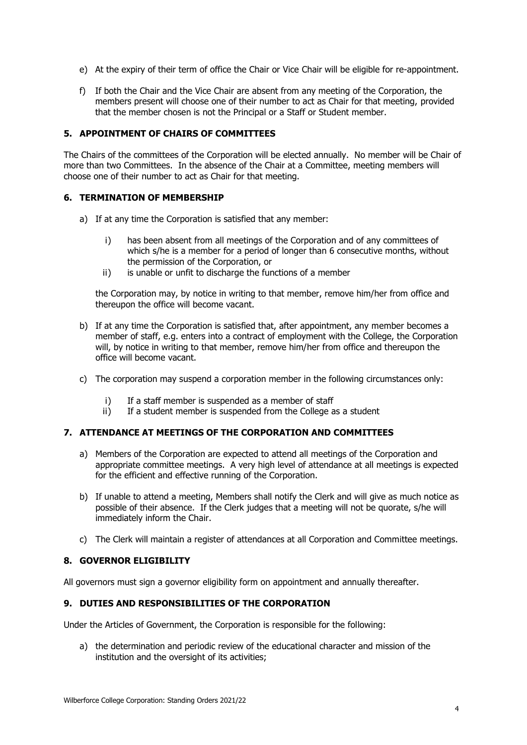- e) At the expiry of their term of office the Chair or Vice Chair will be eligible for re-appointment.
- f) If both the Chair and the Vice Chair are absent from any meeting of the Corporation, the members present will choose one of their number to act as Chair for that meeting, provided that the member chosen is not the Principal or a Staff or Student member.

# **5. APPOINTMENT OF CHAIRS OF COMMITTEES**

The Chairs of the committees of the Corporation will be elected annually. No member will be Chair of more than two Committees. In the absence of the Chair at a Committee, meeting members will choose one of their number to act as Chair for that meeting.

#### **6. TERMINATION OF MEMBERSHIP**

- a) If at any time the Corporation is satisfied that any member:
	- i) has been absent from all meetings of the Corporation and of any committees of which s/he is a member for a period of longer than 6 consecutive months, without the permission of the Corporation, or
	- ii) is unable or unfit to discharge the functions of a member

the Corporation may, by notice in writing to that member, remove him/her from office and thereupon the office will become vacant.

- b) If at any time the Corporation is satisfied that, after appointment, any member becomes a member of staff, e.g. enters into a contract of employment with the College, the Corporation will, by notice in writing to that member, remove him/her from office and thereupon the office will become vacant.
- c) The corporation may suspend a corporation member in the following circumstances only:
	- i) If a staff member is suspended as a member of staff
	- ii) If a student member is suspended from the College as a student

#### **7. ATTENDANCE AT MEETINGS OF THE CORPORATION AND COMMITTEES**

- a) Members of the Corporation are expected to attend all meetings of the Corporation and appropriate committee meetings. A very high level of attendance at all meetings is expected for the efficient and effective running of the Corporation.
- b) If unable to attend a meeting, Members shall notify the Clerk and will give as much notice as possible of their absence. If the Clerk judges that a meeting will not be quorate, s/he will immediately inform the Chair.
- c) The Clerk will maintain a register of attendances at all Corporation and Committee meetings.

#### **8. GOVERNOR ELIGIBILITY**

All governors must sign a governor eligibility form on appointment and annually thereafter.

#### **9. DUTIES AND RESPONSIBILITIES OF THE CORPORATION**

Under the Articles of Government, the Corporation is responsible for the following:

a) the determination and periodic review of the educational character and mission of the institution and the oversight of its activities;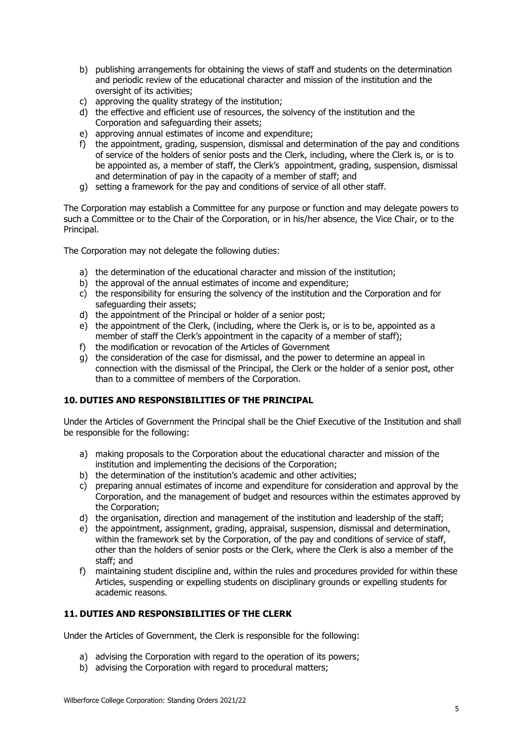- b) publishing arrangements for obtaining the views of staff and students on the determination and periodic review of the educational character and mission of the institution and the oversight of its activities;
- c) approving the quality strategy of the institution;
- d) the effective and efficient use of resources, the solvency of the institution and the Corporation and safeguarding their assets;
- e) approving annual estimates of income and expenditure;
- f) the appointment, grading, suspension, dismissal and determination of the pay and conditions of service of the holders of senior posts and the Clerk, including, where the Clerk is, or is to be appointed as, a member of staff, the Clerk's appointment, grading, suspension, dismissal and determination of pay in the capacity of a member of staff; and
- g) setting a framework for the pay and conditions of service of all other staff.

The Corporation may establish a Committee for any purpose or function and may delegate powers to such a Committee or to the Chair of the Corporation, or in his/her absence, the Vice Chair, or to the Principal.

The Corporation may not delegate the following duties:

- a) the determination of the educational character and mission of the institution;
- b) the approval of the annual estimates of income and expenditure;
- c) the responsibility for ensuring the solvency of the institution and the Corporation and for safeguarding their assets;
- d) the appointment of the Principal or holder of a senior post;
- e) the appointment of the Clerk, (including, where the Clerk is, or is to be, appointed as a member of staff the Clerk's appointment in the capacity of a member of staff);
- f) the modification or revocation of the Articles of Government
- g) the consideration of the case for dismissal, and the power to determine an appeal in connection with the dismissal of the Principal, the Clerk or the holder of a senior post, other than to a committee of members of the Corporation.

# **10. DUTIES AND RESPONSIBILITIES OF THE PRINCIPAL**

Under the Articles of Government the Principal shall be the Chief Executive of the Institution and shall be responsible for the following:

- a) making proposals to the Corporation about the educational character and mission of the institution and implementing the decisions of the Corporation;
- b) the determination of the institution's academic and other activities;
- c) preparing annual estimates of income and expenditure for consideration and approval by the Corporation, and the management of budget and resources within the estimates approved by the Corporation;
- d) the organisation, direction and management of the institution and leadership of the staff;
- e) the appointment, assignment, grading, appraisal, suspension, dismissal and determination, within the framework set by the Corporation, of the pay and conditions of service of staff, other than the holders of senior posts or the Clerk, where the Clerk is also a member of the staff; and
- f) maintaining student discipline and, within the rules and procedures provided for within these Articles, suspending or expelling students on disciplinary grounds or expelling students for academic reasons.

# **11. DUTIES AND RESPONSIBILITIES OF THE CLERK**

Under the Articles of Government, the Clerk is responsible for the following:

- a) advising the Corporation with regard to the operation of its powers;
- b) advising the Corporation with regard to procedural matters;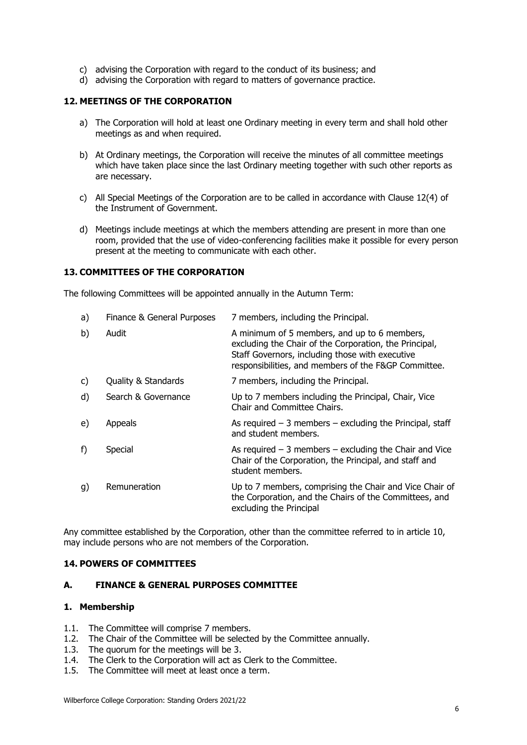- c) advising the Corporation with regard to the conduct of its business; and
- d) advising the Corporation with regard to matters of governance practice.

# **12. MEETINGS OF THE CORPORATION**

- a) The Corporation will hold at least one Ordinary meeting in every term and shall hold other meetings as and when required.
- b) At Ordinary meetings, the Corporation will receive the minutes of all committee meetings which have taken place since the last Ordinary meeting together with such other reports as are necessary.
- c) All Special Meetings of the Corporation are to be called in accordance with Clause 12(4) of the Instrument of Government.
- d) Meetings include meetings at which the members attending are present in more than one room, provided that the use of video-conferencing facilities make it possible for every person present at the meeting to communicate with each other.

#### **13. COMMITTEES OF THE CORPORATION**

The following Committees will be appointed annually in the Autumn Term:

| a) | Finance & General Purposes | 7 members, including the Principal.                                                                                                                                                                               |
|----|----------------------------|-------------------------------------------------------------------------------------------------------------------------------------------------------------------------------------------------------------------|
| b) | Audit                      | A minimum of 5 members, and up to 6 members,<br>excluding the Chair of the Corporation, the Principal,<br>Staff Governors, including those with executive<br>responsibilities, and members of the F&GP Committee. |
| C) | Quality & Standards        | 7 members, including the Principal.                                                                                                                                                                               |
| d) | Search & Governance        | Up to 7 members including the Principal, Chair, Vice<br>Chair and Committee Chairs.                                                                                                                               |
| e) | Appeals                    | As required $-3$ members $-$ excluding the Principal, staff<br>and student members.                                                                                                                               |
| f) | Special                    | As required $-3$ members $-$ excluding the Chair and Vice<br>Chair of the Corporation, the Principal, and staff and<br>student members.                                                                           |
| g) | Remuneration               | Up to 7 members, comprising the Chair and Vice Chair of<br>the Corporation, and the Chairs of the Committees, and<br>excluding the Principal                                                                      |

Any committee established by the Corporation, other than the committee referred to in article 10, may include persons who are not members of the Corporation.

#### **14. POWERS OF COMMITTEES**

#### **A. FINANCE & GENERAL PURPOSES COMMITTEE**

- 1.1. The Committee will comprise 7 members.
- 1.2. The Chair of the Committee will be selected by the Committee annually.<br>1.3. The quorum for the meetings will be 3.
- The quorum for the meetings will be 3.
- 1.4. The Clerk to the Corporation will act as Clerk to the Committee.
- 1.5. The Committee will meet at least once a term.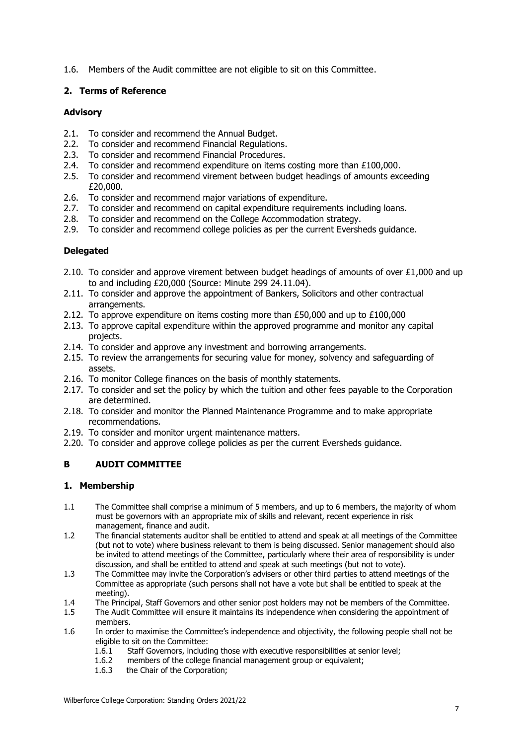1.6. Members of the Audit committee are not eligible to sit on this Committee.

#### **2. Terms of Reference**

#### **Advisory**

- 2.1. To consider and recommend the Annual Budget.
- 2.2. To consider and recommend Financial Regulations.
- 2.3. To consider and recommend Financial Procedures.
- 2.4. To consider and recommend expenditure on items costing more than £100,000.
- 2.5. To consider and recommend virement between budget headings of amounts exceeding £20,000.
- 2.6. To consider and recommend major variations of expenditure.
- 2.7. To consider and recommend on capital expenditure requirements including loans.
- 2.8. To consider and recommend on the College Accommodation strategy.
- 2.9. To consider and recommend college policies as per the current Eversheds guidance.

#### **Delegated**

- 2.10. To consider and approve virement between budget headings of amounts of over  $£1,000$  and up to and including £20,000 (Source: Minute 299 24.11.04).
- 2.11. To consider and approve the appointment of Bankers, Solicitors and other contractual arrangements.
- 2.12. To approve expenditure on items costing more than  $£50,000$  and up to  $£100,000$
- 2.13. To approve capital expenditure within the approved programme and monitor any capital projects.
- 2.14. To consider and approve any investment and borrowing arrangements.
- 2.15. To review the arrangements for securing value for money, solvency and safeguarding of assets.
- 2.16. To monitor College finances on the basis of monthly statements.
- 2.17. To consider and set the policy by which the tuition and other fees payable to the Corporation are determined.
- 2.18. To consider and monitor the Planned Maintenance Programme and to make appropriate recommendations.
- 2.19. To consider and monitor urgent maintenance matters.
- 2.20. To consider and approve college policies as per the current Eversheds guidance.

# **B AUDIT COMMITTEE**

- 1.1 The Committee shall comprise a minimum of 5 members, and up to 6 members, the majority of whom must be governors with an appropriate mix of skills and relevant, recent experience in risk management, finance and audit.
- 1.2 The financial statements auditor shall be entitled to attend and speak at all meetings of the Committee (but not to vote) where business relevant to them is being discussed. Senior management should also be invited to attend meetings of the Committee, particularly where their area of responsibility is under discussion, and shall be entitled to attend and speak at such meetings (but not to vote).
- 1.3 The Committee may invite the Corporation's advisers or other third parties to attend meetings of the Committee as appropriate (such persons shall not have a vote but shall be entitled to speak at the meeting).
- 1.4 The Principal, Staff Governors and other senior post holders may not be members of the Committee.
- 1.5 The Audit Committee will ensure it maintains its independence when considering the appointment of members.
- 1.6 In order to maximise the Committee's independence and objectivity, the following people shall not be eligible to sit on the Committee:
	- 1.6.1 Staff Governors, including those with executive responsibilities at senior level;
	- 1.6.2 members of the college financial management group or equivalent;
	- 1.6.3 the Chair of the Corporation;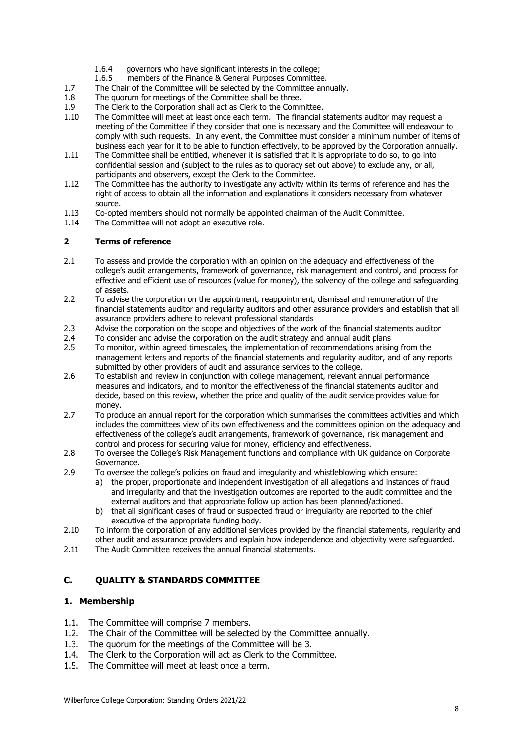- 1.6.4 governors who have significant interests in the college;
- 1.6.5 members of the Finance & General Purposes Committee.
- 1.7 The Chair of the Committee will be selected by the Committee annually.<br>1.8 The quorum for meetings of the Committee shall be three.
- 1.8 The quorum for meetings of the Committee shall be three.<br>1.9 The Clerk to the Corporation shall act as Clerk to the Comn
- 1.9 The Clerk to the Corporation shall act as Clerk to the Committee.<br>1.10 The Committee will meet at least once each term. The financial s
- The Committee will meet at least once each term. The financial statements auditor may request a meeting of the Committee if they consider that one is necessary and the Committee will endeavour to comply with such requests. In any event, the Committee must consider a minimum number of items of business each year for it to be able to function effectively, to be approved by the Corporation annually.
- 1.11 The Committee shall be entitled, whenever it is satisfied that it is appropriate to do so, to go into confidential session and (subject to the rules as to quoracy set out above) to exclude any, or all, participants and observers, except the Clerk to the Committee.
- 1.12 The Committee has the authority to investigate any activity within its terms of reference and has the right of access to obtain all the information and explanations it considers necessary from whatever source.
- 1.13 Co-opted members should not normally be appointed chairman of the Audit Committee.<br>1.14 The Committee will not adopt an executive role.
- The Committee will not adopt an executive role.

#### **2 Terms of reference**

- 2.1 To assess and provide the corporation with an opinion on the adequacy and effectiveness of the college's audit arrangements, framework of governance, risk management and control, and process for effective and efficient use of resources (value for money), the solvency of the college and safeguarding of assets.
- 2.2 To advise the corporation on the appointment, reappointment, dismissal and remuneration of the financial statements auditor and regularity auditors and other assurance providers and establish that all assurance providers adhere to relevant professional standards
- 2.3 Advise the corporation on the scope and objectives of the work of the financial statements auditor
- 2.4 To consider and advise the corporation on the audit strategy and annual audit plans<br>2.5 To monitor, within agreed timescales, the implementation of recommendations arising
- 2.5 To monitor, within agreed timescales, the implementation of recommendations arising from the management letters and reports of the financial statements and regularity auditor, and of any reports submitted by other providers of audit and assurance services to the college.
- 2.6 To establish and review in conjunction with college management, relevant annual performance measures and indicators, and to monitor the effectiveness of the financial statements auditor and decide, based on this review, whether the price and quality of the audit service provides value for money.
- 2.7 To produce an annual report for the corporation which summarises the committees activities and which includes the committees view of its own effectiveness and the committees opinion on the adequacy and effectiveness of the college's audit arrangements, framework of governance, risk management and control and process for securing value for money, efficiency and effectiveness.
- 2.8 To oversee the College's Risk Management functions and compliance with UK guidance on Corporate Governance.
- 2.9 To oversee the college's policies on fraud and irregularity and whistleblowing which ensure:
	- a) the proper, proportionate and independent investigation of all allegations and instances of fraud and irregularity and that the investigation outcomes are reported to the audit committee and the external auditors and that appropriate follow up action has been planned/actioned.
	- b) that all significant cases of fraud or suspected fraud or irregularity are reported to the chief executive of the appropriate funding body.
- 2.10 To inform the corporation of any additional services provided by the financial statements, regularity and other audit and assurance providers and explain how independence and objectivity were safeguarded.
- 2.11 The Audit Committee receives the annual financial statements.

# **C. QUALITY & STANDARDS COMMITTEE**

- 1.1. The Committee will comprise 7 members.
- 1.2. The Chair of the Committee will be selected by the Committee annually.
- 1.3. The quorum for the meetings of the Committee will be 3.
- 1.4. The Clerk to the Corporation will act as Clerk to the Committee.
- 1.5. The Committee will meet at least once a term.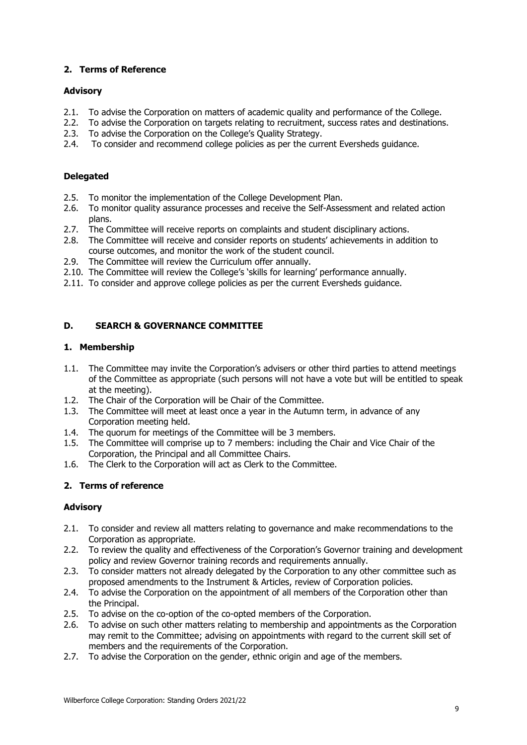#### **2. Terms of Reference**

#### **Advisory**

- 2.1. To advise the Corporation on matters of academic quality and performance of the College.<br>2.2. To advise the Corporation on targets relating to recruitment, success rates and destinations
- 2.2. To advise the Corporation on targets relating to recruitment, success rates and destinations.<br>2.3. To advise the Corporation on the College's Quality Strategy.
- To advise the Corporation on the College's Quality Strategy.
- 2.4. To consider and recommend college policies as per the current Eversheds guidance.

#### **Delegated**

- 2.5. To monitor the implementation of the College Development Plan.
- 2.6. To monitor quality assurance processes and receive the Self-Assessment and related action plans.
- 2.7. The Committee will receive reports on complaints and student disciplinary actions.
- 2.8. The Committee will receive and consider reports on students' achievements in addition to course outcomes, and monitor the work of the student council.
- 2.9. The Committee will review the Curriculum offer annually.
- 2.10. The Committee will review the College's 'skills for learning' performance annually.
- 2.11. To consider and approve college policies as per the current Eversheds guidance.

# **D. SEARCH & GOVERNANCE COMMITTEE**

#### **1. Membership**

- 1.1. The Committee may invite the Corporation's advisers or other third parties to attend meetings of the Committee as appropriate (such persons will not have a vote but will be entitled to speak at the meeting).
- 1.2. The Chair of the Corporation will be Chair of the Committee.
- 1.3. The Committee will meet at least once a year in the Autumn term, in advance of any Corporation meeting held.
- 1.4. The quorum for meetings of the Committee will be 3 members.
- 1.5. The Committee will comprise up to 7 members: including the Chair and Vice Chair of the Corporation, the Principal and all Committee Chairs.
- 1.6. The Clerk to the Corporation will act as Clerk to the Committee.

# **2. Terms of reference**

# **Advisory**

- 2.1. To consider and review all matters relating to governance and make recommendations to the Corporation as appropriate.
- 2.2. To review the quality and effectiveness of the Corporation's Governor training and development policy and review Governor training records and requirements annually.
- 2.3. To consider matters not already delegated by the Corporation to any other committee such as proposed amendments to the Instrument & Articles, review of Corporation policies.
- 2.4. To advise the Corporation on the appointment of all members of the Corporation other than the Principal.
- 2.5. To advise on the co-option of the co-opted members of the Corporation.
- 2.6. To advise on such other matters relating to membership and appointments as the Corporation may remit to the Committee; advising on appointments with regard to the current skill set of members and the requirements of the Corporation.
- 2.7. To advise the Corporation on the gender, ethnic origin and age of the members.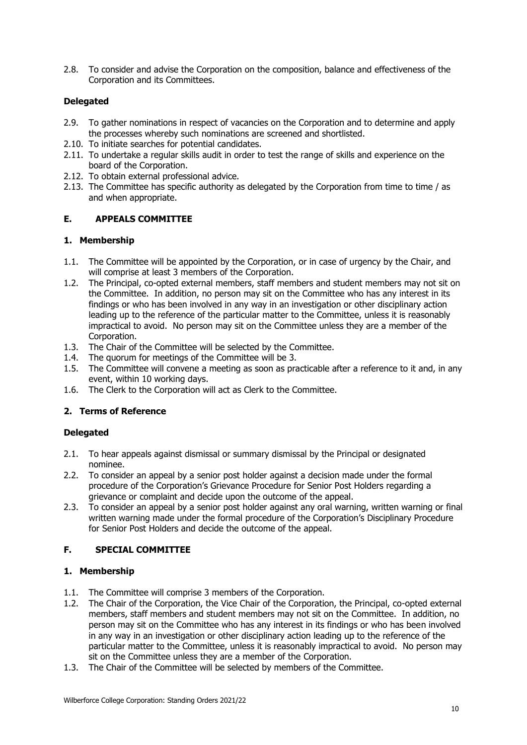2.8. To consider and advise the Corporation on the composition, balance and effectiveness of the Corporation and its Committees.

#### **Delegated**

- 2.9. To gather nominations in respect of vacancies on the Corporation and to determine and apply the processes whereby such nominations are screened and shortlisted.
- 2.10. To initiate searches for potential candidates.
- 2.11. To undertake a regular skills audit in order to test the range of skills and experience on the board of the Corporation.
- 2.12. To obtain external professional advice.
- 2.13. The Committee has specific authority as delegated by the Corporation from time to time / as and when appropriate.

#### **E. APPEALS COMMITTEE**

#### **1. Membership**

- 1.1. The Committee will be appointed by the Corporation, or in case of urgency by the Chair, and will comprise at least 3 members of the Corporation.
- 1.2. The Principal, co-opted external members, staff members and student members may not sit on the Committee. In addition, no person may sit on the Committee who has any interest in its findings or who has been involved in any way in an investigation or other disciplinary action leading up to the reference of the particular matter to the Committee, unless it is reasonably impractical to avoid. No person may sit on the Committee unless they are a member of the Corporation.
- 1.3. The Chair of the Committee will be selected by the Committee.
- 1.4. The quorum for meetings of the Committee will be 3.
- 1.5. The Committee will convene a meeting as soon as practicable after a reference to it and, in any event, within 10 working days.
- 1.6. The Clerk to the Corporation will act as Clerk to the Committee.

# **2. Terms of Reference**

#### **Delegated**

- 2.1. To hear appeals against dismissal or summary dismissal by the Principal or designated nominee.
- 2.2. To consider an appeal by a senior post holder against a decision made under the formal procedure of the Corporation's Grievance Procedure for Senior Post Holders regarding a grievance or complaint and decide upon the outcome of the appeal.
- 2.3. To consider an appeal by a senior post holder against any oral warning, written warning or final written warning made under the formal procedure of the Corporation's Disciplinary Procedure for Senior Post Holders and decide the outcome of the appeal.

# **F. SPECIAL COMMITTEE**

- 1.1. The Committee will comprise 3 members of the Corporation.
- 1.2. The Chair of the Corporation, the Vice Chair of the Corporation, the Principal, co-opted external members, staff members and student members may not sit on the Committee. In addition, no person may sit on the Committee who has any interest in its findings or who has been involved in any way in an investigation or other disciplinary action leading up to the reference of the particular matter to the Committee, unless it is reasonably impractical to avoid. No person may sit on the Committee unless they are a member of the Corporation.
- 1.3. The Chair of the Committee will be selected by members of the Committee.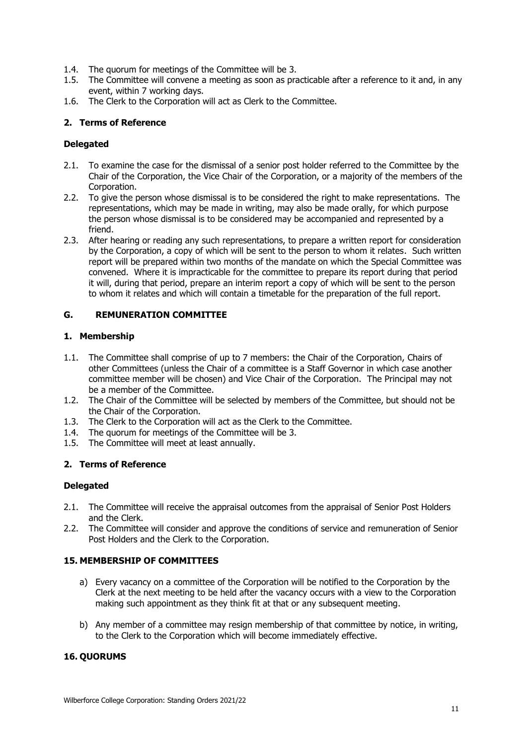- 1.4. The quorum for meetings of the Committee will be 3.
- 1.5. The Committee will convene a meeting as soon as practicable after a reference to it and, in any event, within 7 working days.
- 1.6. The Clerk to the Corporation will act as Clerk to the Committee.

#### **2. Terms of Reference**

#### **Delegated**

- 2.1. To examine the case for the dismissal of a senior post holder referred to the Committee by the Chair of the Corporation, the Vice Chair of the Corporation, or a majority of the members of the Corporation.
- 2.2. To give the person whose dismissal is to be considered the right to make representations. The representations, which may be made in writing, may also be made orally, for which purpose the person whose dismissal is to be considered may be accompanied and represented by a friend.
- 2.3. After hearing or reading any such representations, to prepare a written report for consideration by the Corporation, a copy of which will be sent to the person to whom it relates. Such written report will be prepared within two months of the mandate on which the Special Committee was convened. Where it is impracticable for the committee to prepare its report during that period it will, during that period, prepare an interim report a copy of which will be sent to the person to whom it relates and which will contain a timetable for the preparation of the full report.

### **G. REMUNERATION COMMITTEE**

#### **1. Membership**

- 1.1. The Committee shall comprise of up to 7 members: the Chair of the Corporation, Chairs of other Committees (unless the Chair of a committee is a Staff Governor in which case another committee member will be chosen) and Vice Chair of the Corporation. The Principal may not be a member of the Committee.
- 1.2. The Chair of the Committee will be selected by members of the Committee, but should not be the Chair of the Corporation.
- 1.3. The Clerk to the Corporation will act as the Clerk to the Committee.
- 1.4. The quorum for meetings of the Committee will be 3.
- 1.5. The Committee will meet at least annually.

# **2. Terms of Reference**

#### **Delegated**

- 2.1. The Committee will receive the appraisal outcomes from the appraisal of Senior Post Holders and the Clerk.
- 2.2. The Committee will consider and approve the conditions of service and remuneration of Senior Post Holders and the Clerk to the Corporation.

# **15. MEMBERSHIP OF COMMITTEES**

- a) Every vacancy on a committee of the Corporation will be notified to the Corporation by the Clerk at the next meeting to be held after the vacancy occurs with a view to the Corporation making such appointment as they think fit at that or any subsequent meeting.
- b) Any member of a committee may resign membership of that committee by notice, in writing, to the Clerk to the Corporation which will become immediately effective.

# **16. QUORUMS**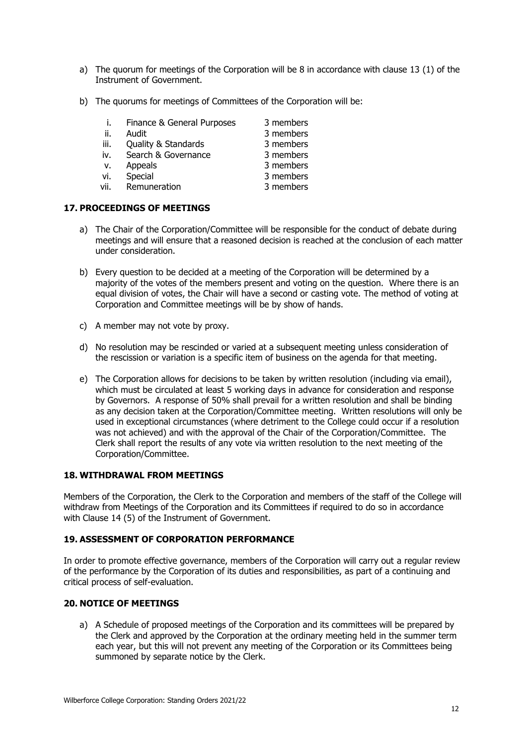- a) The quorum for meetings of the Corporation will be 8 in accordance with clause 13 (1) of the Instrument of Government.
- b) The quorums for meetings of Committees of the Corporation will be:

|      | Finance & General Purposes | 3 members |
|------|----------------------------|-----------|
| ii.  | Audit                      | 3 members |
| iii. | Quality & Standards        | 3 members |
| iv.  | Search & Governance        | 3 members |
| v.   | Appeals                    | 3 members |
| vi.  | Special                    | 3 members |
| vii. | Remuneration               | 3 members |

# **17. PROCEEDINGS OF MEETINGS**

- a) The Chair of the Corporation/Committee will be responsible for the conduct of debate during meetings and will ensure that a reasoned decision is reached at the conclusion of each matter under consideration.
- b) Every question to be decided at a meeting of the Corporation will be determined by a majority of the votes of the members present and voting on the question. Where there is an equal division of votes, the Chair will have a second or casting vote. The method of voting at Corporation and Committee meetings will be by show of hands.
- c) A member may not vote by proxy.
- d) No resolution may be rescinded or varied at a subsequent meeting unless consideration of the rescission or variation is a specific item of business on the agenda for that meeting.
- e) The Corporation allows for decisions to be taken by written resolution (including via email), which must be circulated at least 5 working days in advance for consideration and response by Governors. A response of 50% shall prevail for a written resolution and shall be binding as any decision taken at the Corporation/Committee meeting. Written resolutions will only be used in exceptional circumstances (where detriment to the College could occur if a resolution was not achieved) and with the approval of the Chair of the Corporation/Committee. The Clerk shall report the results of any vote via written resolution to the next meeting of the Corporation/Committee.

# **18. WITHDRAWAL FROM MEETINGS**

Members of the Corporation, the Clerk to the Corporation and members of the staff of the College will withdraw from Meetings of the Corporation and its Committees if required to do so in accordance with Clause 14 (5) of the Instrument of Government.

# **19. ASSESSMENT OF CORPORATION PERFORMANCE**

In order to promote effective governance, members of the Corporation will carry out a regular review of the performance by the Corporation of its duties and responsibilities, as part of a continuing and critical process of self-evaluation.

# **20. NOTICE OF MEETINGS**

a) A Schedule of proposed meetings of the Corporation and its committees will be prepared by the Clerk and approved by the Corporation at the ordinary meeting held in the summer term each year, but this will not prevent any meeting of the Corporation or its Committees being summoned by separate notice by the Clerk.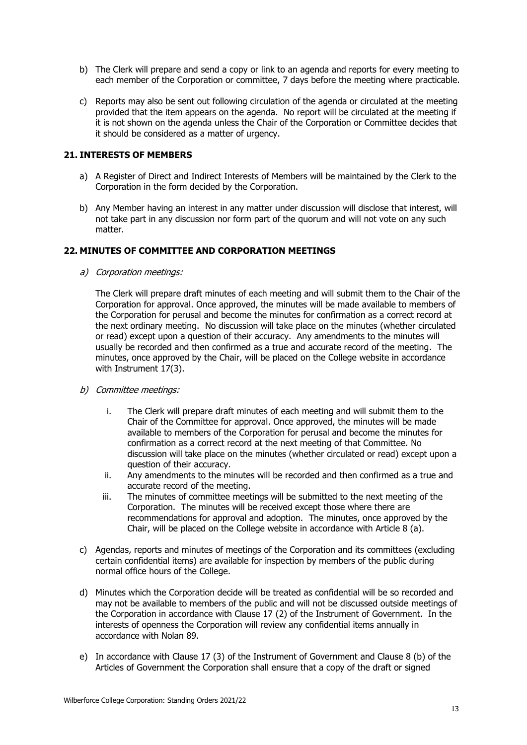- b) The Clerk will prepare and send a copy or link to an agenda and reports for every meeting to each member of the Corporation or committee, 7 days before the meeting where practicable.
- c) Reports may also be sent out following circulation of the agenda or circulated at the meeting provided that the item appears on the agenda. No report will be circulated at the meeting if it is not shown on the agenda unless the Chair of the Corporation or Committee decides that it should be considered as a matter of urgency.

#### **21. INTERESTS OF MEMBERS**

- a) A Register of Direct and Indirect Interests of Members will be maintained by the Clerk to the Corporation in the form decided by the Corporation.
- b) Any Member having an interest in any matter under discussion will disclose that interest, will not take part in any discussion nor form part of the quorum and will not vote on any such matter.

#### **22. MINUTES OF COMMITTEE AND CORPORATION MEETINGS**

a) Corporation meetings:

The Clerk will prepare draft minutes of each meeting and will submit them to the Chair of the Corporation for approval. Once approved, the minutes will be made available to members of the Corporation for perusal and become the minutes for confirmation as a correct record at the next ordinary meeting. No discussion will take place on the minutes (whether circulated or read) except upon a question of their accuracy. Any amendments to the minutes will usually be recorded and then confirmed as a true and accurate record of the meeting. The minutes, once approved by the Chair, will be placed on the College website in accordance with Instrument 17(3).

- b) Committee meetings:
	- i. The Clerk will prepare draft minutes of each meeting and will submit them to the Chair of the Committee for approval. Once approved, the minutes will be made available to members of the Corporation for perusal and become the minutes for confirmation as a correct record at the next meeting of that Committee. No discussion will take place on the minutes (whether circulated or read) except upon a question of their accuracy.
	- ii. Any amendments to the minutes will be recorded and then confirmed as a true and accurate record of the meeting.
	- iii. The minutes of committee meetings will be submitted to the next meeting of the Corporation. The minutes will be received except those where there are recommendations for approval and adoption. The minutes, once approved by the Chair, will be placed on the College website in accordance with Article 8 (a).
- c) Agendas, reports and minutes of meetings of the Corporation and its committees (excluding certain confidential items) are available for inspection by members of the public during normal office hours of the College.
- d) Minutes which the Corporation decide will be treated as confidential will be so recorded and may not be available to members of the public and will not be discussed outside meetings of the Corporation in accordance with Clause 17 (2) of the Instrument of Government. In the interests of openness the Corporation will review any confidential items annually in accordance with Nolan 89.
- e) In accordance with Clause 17 (3) of the Instrument of Government and Clause 8 (b) of the Articles of Government the Corporation shall ensure that a copy of the draft or signed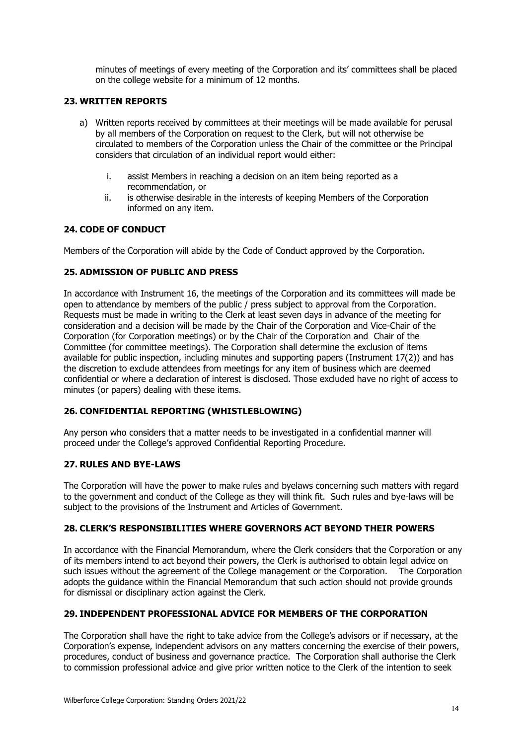minutes of meetings of every meeting of the Corporation and its' committees shall be placed on the college website for a minimum of 12 months.

# **23. WRITTEN REPORTS**

- a) Written reports received by committees at their meetings will be made available for perusal by all members of the Corporation on request to the Clerk, but will not otherwise be circulated to members of the Corporation unless the Chair of the committee or the Principal considers that circulation of an individual report would either:
	- i. assist Members in reaching a decision on an item being reported as a recommendation, or
	- ii. is otherwise desirable in the interests of keeping Members of the Corporation informed on any item.

#### **24. CODE OF CONDUCT**

Members of the Corporation will abide by the Code of Conduct approved by the Corporation.

#### **25. ADMISSION OF PUBLIC AND PRESS**

In accordance with Instrument 16, the meetings of the Corporation and its committees will made be open to attendance by members of the public / press subject to approval from the Corporation. Requests must be made in writing to the Clerk at least seven days in advance of the meeting for consideration and a decision will be made by the Chair of the Corporation and Vice-Chair of the Corporation (for Corporation meetings) or by the Chair of the Corporation and Chair of the Committee (for committee meetings). The Corporation shall determine the exclusion of items available for public inspection, including minutes and supporting papers (Instrument 17(2)) and has the discretion to exclude attendees from meetings for any item of business which are deemed confidential or where a declaration of interest is disclosed. Those excluded have no right of access to minutes (or papers) dealing with these items.

#### **26. CONFIDENTIAL REPORTING (WHISTLEBLOWING)**

Any person who considers that a matter needs to be investigated in a confidential manner will proceed under the College's approved Confidential Reporting Procedure.

#### **27. RULES AND BYE-LAWS**

The Corporation will have the power to make rules and byelaws concerning such matters with regard to the government and conduct of the College as they will think fit. Such rules and bye-laws will be subject to the provisions of the Instrument and Articles of Government.

#### **28. CLERK'S RESPONSIBILITIES WHERE GOVERNORS ACT BEYOND THEIR POWERS**

In accordance with the Financial Memorandum, where the Clerk considers that the Corporation or any of its members intend to act beyond their powers, the Clerk is authorised to obtain legal advice on such issues without the agreement of the College management or the Corporation. The Corporation adopts the guidance within the Financial Memorandum that such action should not provide grounds for dismissal or disciplinary action against the Clerk.

# **29. INDEPENDENT PROFESSIONAL ADVICE FOR MEMBERS OF THE CORPORATION**

The Corporation shall have the right to take advice from the College's advisors or if necessary, at the Corporation's expense, independent advisors on any matters concerning the exercise of their powers, procedures, conduct of business and governance practice. The Corporation shall authorise the Clerk to commission professional advice and give prior written notice to the Clerk of the intention to seek